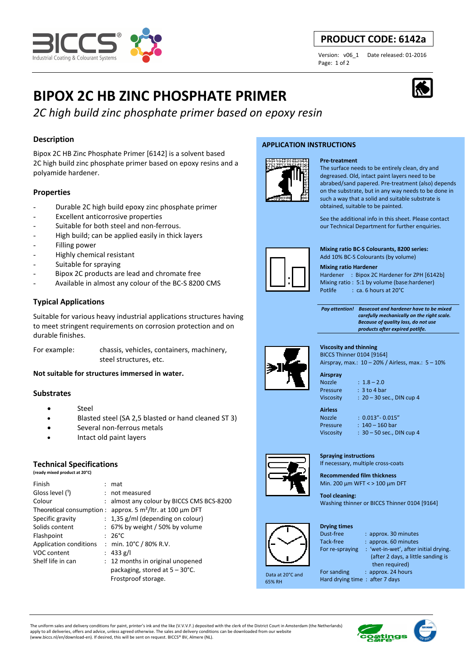

# **PRODUCT CODE: 6142a**

Page: 1 of 2

Version: v06\_1 Date released: 01-2016

# **BIPOX 2C HB ZINC PHOSPHATE PRIMER**

*2C high build zinc phosphate primer based on epoxy resin*

# **Description**

Bipox 2C HB Zinc Phosphate Primer [6142] is a solvent based 2C high build zinc phosphate primer based on epoxy resins and a polyamide hardener.

# **Properties**

- Durable 2C high build epoxy zinc phosphate primer
- Excellent anticorrosive properties
- Suitable for both steel and non-ferrous.
- High build; can be applied easily in thick layers
- Filling power
- Highly chemical resistant
- Suitable for spraying
- Bipox 2C products are lead and chromate free
- Available in almost any colour of the BC-S 8200 CMS

# **Typical Applications**

Suitable for various heavy industrial applications structures having to meet stringent requirements on corrosion protection and on durable finishes.

For example: chassis, vehicles, containers, machinery, steel structures, etc.

**Not suitable for structures immersed in water.** 

# **Substrates**

- Steel
- Blasted steel (SA 2,5 blasted or hand cleaned ST 3)
- Several non-ferrous metals
- Intact old paint layers

# **Technical Specifications**

**(ready mixed product at 20°C)**

| Finish                 | : mat                                                         |
|------------------------|---------------------------------------------------------------|
| Gloss level (1)        | : not measured                                                |
| Colour                 | : almost any colour by BICCS CMS BCS-8200                     |
|                        | Theoretical consumption : approx. 5 $m^2$ /ltr. at 100 µm DFT |
| Specific gravity       | $: 1,35$ g/ml (depending on colour)                           |
| Solids content         | $: 67\%$ by weight / 50% by volume                            |
| Flashpoint             | $26^{\circ}$ C                                                |
| Application conditions | : min. $10^{\circ}$ C / 80% R.V.                              |
| VOC content            | : 433 g/l                                                     |
| Shelf life in can      | : 12 months in original unopened                              |
|                        | packaging, stored at $5 - 30^{\circ}$ C.                      |
|                        | Frostproof storage.                                           |

### **APPLICATION INSTRUCTIONS**



#### **Pre-treatment**

The surface needs to be entirely clean, dry and degreased. Old, intact paint layers need to be abrabed/sand papered. Pre-treatment (also) depends on the substrate, but in any way needs to be done in such a way that a solid and suitable substrate is obtained, suitable to be painted.

See the additional info in this sheet. Please contact our Technical Department for further enquiries.



**Mixing ratio BC-S Colourants, 8200 series:**  Add 10% BC-S Colourants (by volume)

#### **Mixing ratio Hardener**

Hardener : Bipox 2C Hardener for ZPH [6142b] Mixing ratio : 5:1 by volume (base:hardener) Potlife : ca. 6 hours at 20°C

 *Pay attention! Basecoat and hardener have to be mixed carefully mechanically on the right scale. Because of quality loss, do not use products after expired potlife.*



**Viscosity and thinning** 

BICCS Thinner 0104 [9164] Airspray, max.: 10 – 20% / Airless, max.: 5 – 10%

**Airspray** 

Nozzle : 1.8 – 2.0 Pressure : 3 to 4 bar Viscosity : 20 – 30 sec., DIN cup 4

**Drying times** 

Nozzle : 0.013"- 0.015" Pressure : 140 – 160 bar Viscosity : 30 – 50 sec., DIN cup 4



**Spraying instructions**  If necessary, multiple cross-coats

**Recommended film thickness**  Min. 200 µm WFT < > 100 µm DFT

**Tool cleaning:**  Washing thinner or BICCS Thinner 0104 [9164]

 Data at 20°C and 65% RH

- Dust-free : approx. 30 minutes<br>Tack-free : approx. 60 minutes : approx. 60 minutes For re-spraying : 'wet-in-wet', after initial drying. (after 2 days, a little sanding is
	- then required)

For sanding : approx. 24 hours Hard drying time : after 7 days

The uniform sales and delivery conditions for paint, printer's ink and the like (V.V.V.F.) deposited with the clerk of the District Court in Amsterdam (the Netherlands) apply to all deliveries, offers and advice, unless agreed otherwise. The sales and delivery conditions can be downloaded from our website (www.biccs.nl/en/download-en). If desired, this will be sent on request. BICCS® BV, Almere (NL).